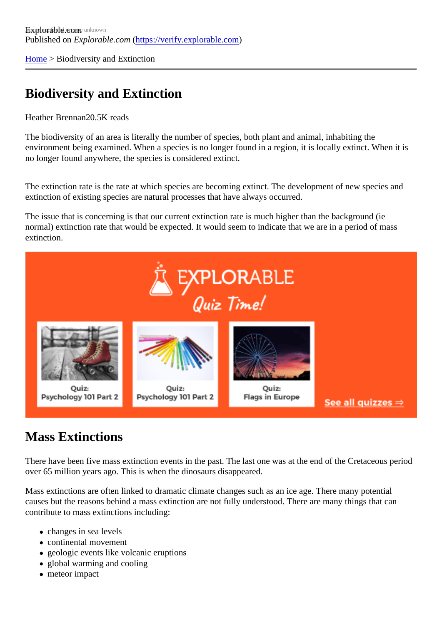[Home](https://verify.explorable.com/)> Biodiversity and Extinction

## Biodiversity and Extinction

## Heather Brennan<sub>20.5</sub>K reads

The biodiversity of an area is literally the number of species, both plant and animal, inhabiting the environment being examined. When a species is no longer found in a region, it is locally extinct. When it is no longer found anywhere, the species is considered extinct.

The extinction rate is the rate at which species are becoming extinct. The development of new species and extinction of existing species are natural processes that have always occurred.

The issue that is concerning is that our current extinction rate is much higher than the background (ie normal) extinction rate that would be expected. It would seem to indicate that we are in a period of mass extinction.

## Mass Extinctions

There have been five mass extinction events in the past. The last one was at the end of the Cretaceous per over 65 million years ago. This is when the dinosaurs disappeared.

Mass extinctions are often linked to dramatic climate changes such as an ice age. There many potential causes but the reasons behind a mass extinction are not fully understood. There are many things that can contribute to mass extinctions including:

- changes in sea levels
- continental movement
- geologic events like volcanic eruptions
- global warming and cooling
- meteor impact